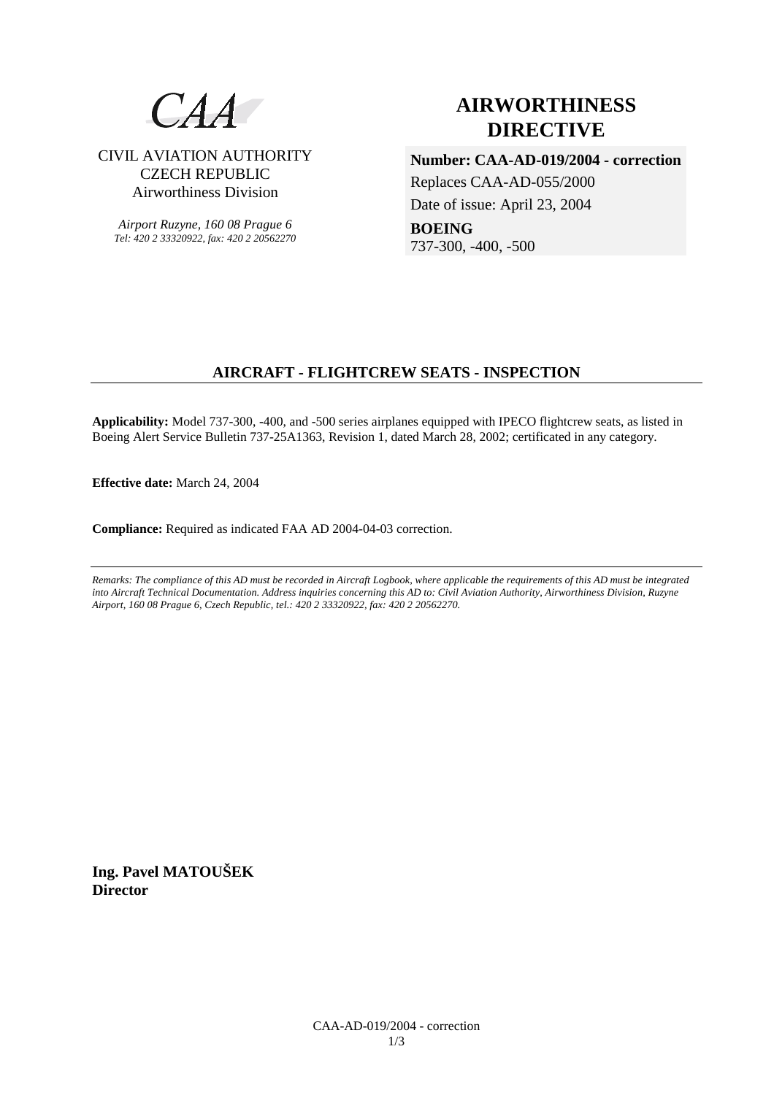

# CIVIL AVIATION AUTHORITY CZECH REPUBLIC Airworthiness Division

*Airport Ruzyne, 160 08 Prague 6 Tel: 420 2 33320922, fax: 420 2 20562270*

# **AIRWORTHINESS DIRECTIVE**

**Number: CAA-AD-019/2004 - correction**  Replaces CAA-AD-055/2000 Date of issue: April 23, 2004 **BOEING**  737-300, -400, -500

# **AIRCRAFT - FLIGHTCREW SEATS - INSPECTION**

**Applicability:** Model 737-300, -400, and -500 series airplanes equipped with IPECO flightcrew seats, as listed in Boeing Alert Service Bulletin 737-25A1363, Revision 1, dated March 28, 2002; certificated in any category.

**Effective date:** March 24, 2004

**Compliance:** Required as indicated FAA AD 2004-04-03 correction.

*Remarks: The compliance of this AD must be recorded in Aircraft Logbook, where applicable the requirements of this AD must be integrated into Aircraft Technical Documentation. Address inquiries concerning this AD to: Civil Aviation Authority, Airworthiness Division, Ruzyne Airport, 160 08 Prague 6, Czech Republic, tel.: 420 2 33320922, fax: 420 2 20562270.* 

**Ing. Pavel MATOUŠEK Director**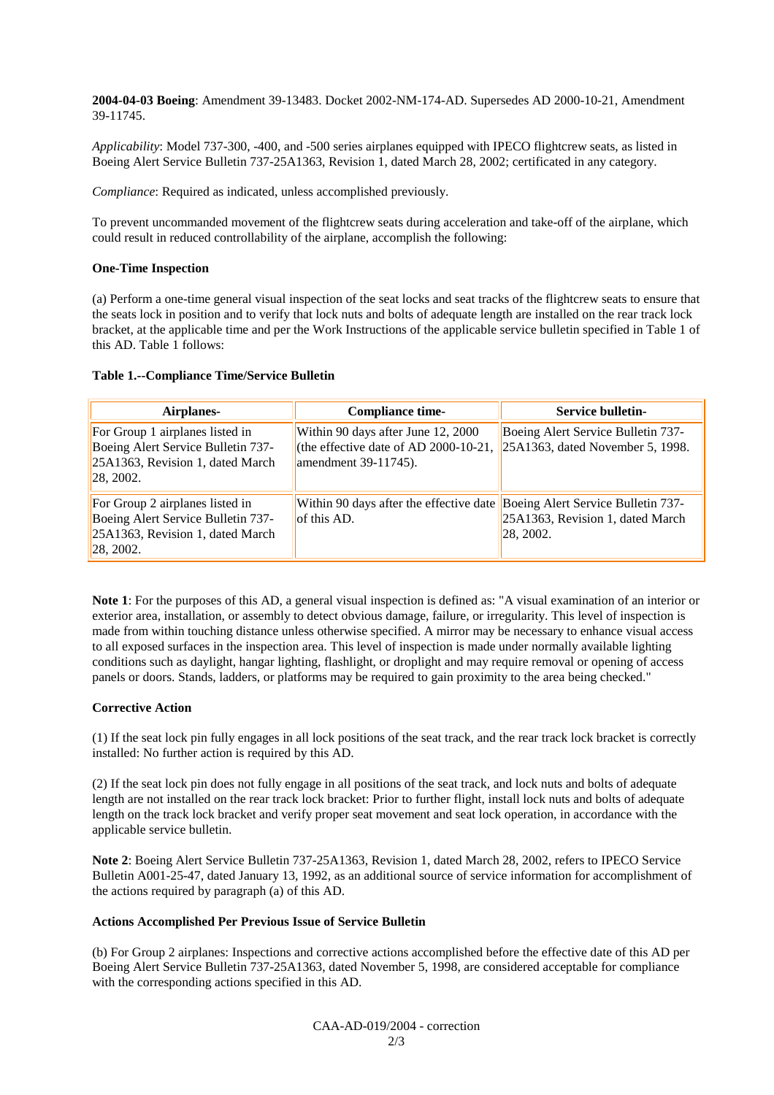**2004-04-03 Boeing**: Amendment 39-13483. Docket 2002-NM-174-AD. Supersedes AD 2000-10-21, Amendment 39-11745.

*Applicability*: Model 737-300, -400, and -500 series airplanes equipped with IPECO flightcrew seats, as listed in Boeing Alert Service Bulletin 737-25A1363, Revision 1, dated March 28, 2002; certificated in any category.

*Compliance*: Required as indicated, unless accomplished previously.

To prevent uncommanded movement of the flightcrew seats during acceleration and take-off of the airplane, which could result in reduced controllability of the airplane, accomplish the following:

## **One-Time Inspection**

(a) Perform a one-time general visual inspection of the seat locks and seat tracks of the flightcrew seats to ensure that the seats lock in position and to verify that lock nuts and bolts of adequate length are installed on the rear track lock bracket, at the applicable time and per the Work Instructions of the applicable service bulletin specified in Table 1 of this AD. Table 1 follows:

#### **Table 1.--Compliance Time/Service Bulletin**

| Airplanes-                                                                                                              | <b>Compliance time-</b>                                                                             | Service bulletin-                                                         |
|-------------------------------------------------------------------------------------------------------------------------|-----------------------------------------------------------------------------------------------------|---------------------------------------------------------------------------|
| For Group 1 airplanes listed in<br>Boeing Alert Service Bulletin 737-<br>25A1363, Revision 1, dated March<br>28, 2002.  | Within 90 days after June 12, 2000<br>(the effective date of AD 2000-10-21,<br>amendment 39-11745). | Boeing Alert Service Bulletin 737-<br>$25A1363$ , dated November 5, 1998. |
| For Group 2 airplanes listed in<br>Boeing Alert Service Bulletin 737-<br>25A1363, Revision 1, dated March<br> 28, 2002. | Within 90 days after the effective date Boeing Alert Service Bulletin 737-<br>of this AD.           | 25A1363, Revision 1, dated March<br>28, 2002.                             |

**Note 1**: For the purposes of this AD, a general visual inspection is defined as: "A visual examination of an interior or exterior area, installation, or assembly to detect obvious damage, failure, or irregularity. This level of inspection is made from within touching distance unless otherwise specified. A mirror may be necessary to enhance visual access to all exposed surfaces in the inspection area. This level of inspection is made under normally available lighting conditions such as daylight, hangar lighting, flashlight, or droplight and may require removal or opening of access panels or doors. Stands, ladders, or platforms may be required to gain proximity to the area being checked."

## **Corrective Action**

(1) If the seat lock pin fully engages in all lock positions of the seat track, and the rear track lock bracket is correctly installed: No further action is required by this AD.

(2) If the seat lock pin does not fully engage in all positions of the seat track, and lock nuts and bolts of adequate length are not installed on the rear track lock bracket: Prior to further flight, install lock nuts and bolts of adequate length on the track lock bracket and verify proper seat movement and seat lock operation, in accordance with the applicable service bulletin.

**Note 2**: Boeing Alert Service Bulletin 737-25A1363, Revision 1, dated March 28, 2002, refers to IPECO Service Bulletin A001-25-47, dated January 13, 1992, as an additional source of service information for accomplishment of the actions required by paragraph (a) of this AD.

# **Actions Accomplished Per Previous Issue of Service Bulletin**

(b) For Group 2 airplanes: Inspections and corrective actions accomplished before the effective date of this AD per Boeing Alert Service Bulletin 737-25A1363, dated November 5, 1998, are considered acceptable for compliance with the corresponding actions specified in this AD.